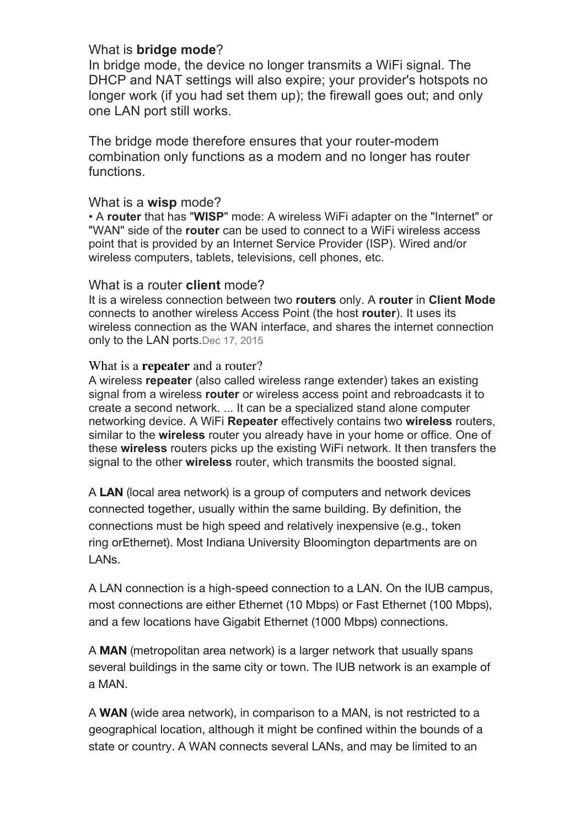# What is **bridge mode**?

In bridge mode, the device no longer transmits a WiFi signal. The DHCP and NAT settings will also expire; your provider's hotspots no longer work (if you had set them up); the firewall goes out; and only one LAN port still works.

The bridge mode therefore ensures that your router-modem combination only functions as a modem and no longer has router functions.

## What is a **wisp** mode?

• A **router** that has "**WISP**" mode: A wireless WiFi adapter on the "Internet" or "WAN" side of the **router** can be used to connect to a WiFi wireless access point that is provided by an Internet Service Provider (ISP). Wired and/or wireless computers, tablets, televisions, cell phones, etc.

### What is a router **client** mode?

It is a wireless connection between two **routers** only. A **router** in **Client Mode** connects to another wireless Access Point (the host **router**). It uses its wireless connection as the WAN interface, and shares the internet connection only to the LAN ports.Dec 17, 2015

### What is a **repeater** and a router?

A wireless **repeater** (also called wireless range extender) takes an existing signal from a wireless **router** or wireless access point and rebroadcasts it to create a second network. ... It can be a specialized stand alone computer networking device. A WiFi **Repeater** effectively contains two **wireless** routers, similar to the **wireless** router you already have in your home or office. One of these **wireless** routers picks up the existing WiFi network. It then transfers the signal to the other **wireless** router, which transmits the boosted signal.

A **LAN** (local area network) is a group of computers and network devices connected together, usually within the same building. By definition, the connections must be high speed and relatively inexpensive (e.g., token ring orEthernet). Most Indiana University Bloomington departments are on LANs.

A LAN connection is a high-speed connection to a LAN. On the IUB campus, most connections are either Ethernet (10 Mbps) or Fast Ethernet (100 Mbps), and a few locations have Gigabit Ethernet (1000 Mbps) connections.

A **MAN** (metropolitan area network) is a larger network that usually spans several buildings in the same city or town. The IUB network is an example of a MAN.

A **WAN** (wide area network), in comparison to a MAN, is not restricted to a geographical location, although it might be confined within the bounds of a state or country. A WAN connects several LANs, and may be limited to an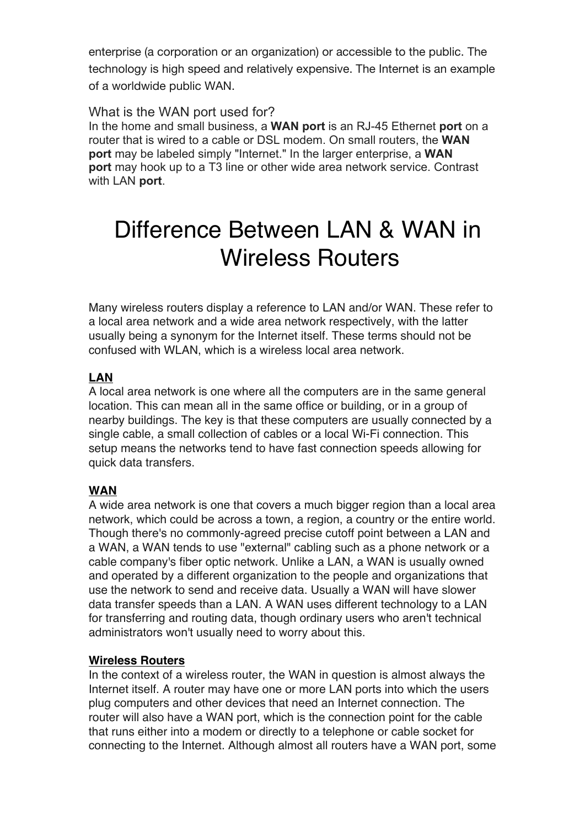enterprise (a corporation or an organization) or accessible to the public. The technology is high speed and relatively expensive. The Internet is an example of a worldwide public WAN.

## What is the WAN port used for?

In the home and small business, a **WAN port** is an RJ-45 Ethernet **port** on a router that is wired to a cable or DSL modem. On small routers, the **WAN port** may be labeled simply "Internet." In the larger enterprise, a **WAN port** may hook up to a T3 line or other wide area network service. Contrast with LAN **port**.

# Difference Between LAN & WAN in Wireless Routers

Many wireless routers display a reference to LAN and/or WAN. These refer to a local area network and a wide area network respectively, with the latter usually being a synonym for the Internet itself. These terms should not be confused with WLAN, which is a wireless local area network.

# **LAN**

A local area network is one where all the computers are in the same general location. This can mean all in the same office or building, or in a group of nearby buildings. The key is that these computers are usually connected by a single cable, a small collection of cables or a local Wi-Fi connection. This setup means the networks tend to have fast connection speeds allowing for quick data transfers.

# **WAN**

A wide area network is one that covers a much bigger region than a local area network, which could be across a town, a region, a country or the entire world. Though there's no commonly-agreed precise cutoff point between a LAN and a WAN, a WAN tends to use "external" cabling such as a phone network or a cable company's fiber optic network. Unlike a LAN, a WAN is usually owned and operated by a different organization to the people and organizations that use the network to send and receive data. Usually a WAN will have slower data transfer speeds than a LAN. A WAN uses different technology to a LAN for transferring and routing data, though ordinary users who aren't technical administrators won't usually need to worry about this.

#### **Wireless Routers**

In the context of a wireless router, the WAN in question is almost always the Internet itself. A router may have one or more LAN ports into which the users plug computers and other devices that need an Internet connection. The router will also have a WAN port, which is the connection point for the cable that runs either into a modem or directly to a telephone or cable socket for connecting to the Internet. Although almost all routers have a WAN port, some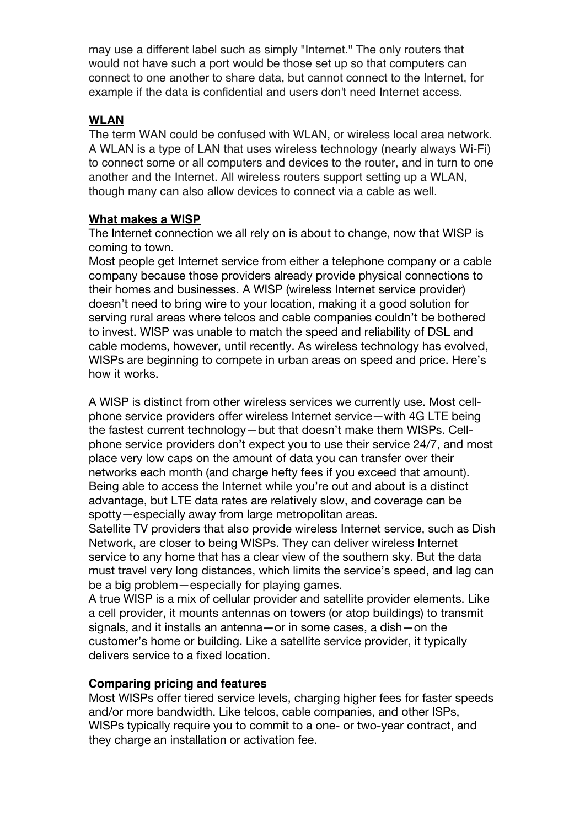may use a different label such as simply "Internet." The only routers that would not have such a port would be those set up so that computers can connect to one another to share data, but cannot connect to the Internet, for example if the data is confidential and users don't need Internet access.

## **WLAN**

The term WAN could be confused with WLAN, or wireless local area network. A WLAN is a type of LAN that uses wireless technology (nearly always Wi-Fi) to connect some or all computers and devices to the router, and in turn to one another and the Internet. All wireless routers support setting up a WLAN, though many can also allow devices to connect via a cable as well.

## **What makes a WISP**

The Internet connection we all rely on is about to change, now that WISP is coming to town.

Most people get Internet service from either a telephone company or a cable company because those providers already provide physical connections to their homes and businesses. A WISP (wireless Internet service provider) doesn't need to bring wire to your location, making it a good solution for serving rural areas where telcos and cable companies couldn't be bothered to invest. WISP was unable to match the speed and reliability of DSL and cable modems, however, until recently. As wireless technology has evolved, WISPs are beginning to compete in urban areas on speed and price. Here's how it works.

A WISP is distinct from other wireless services we currently use. Most cellphone service providers offer wireless Internet service—with 4G LTE being the fastest current technology—but that doesn't make them WISPs. Cellphone service providers don't expect you to use their service 24/7, and most place very low caps on the amount of data you can transfer over their networks each month (and charge hefty fees if you exceed that amount). Being able to access the Internet while you're out and about is a distinct advantage, but LTE data rates are relatively slow, and coverage can be spotty—especially away from large metropolitan areas.

Satellite TV providers that also provide wireless Internet service, such as Dish Network, are closer to being WISPs. They can deliver wireless Internet service to any home that has a clear view of the southern sky. But the data must travel very long distances, which limits the service's speed, and lag can be a big problem—especially for playing games.

A true WISP is a mix of cellular provider and satellite provider elements. Like a cell provider, it mounts antennas on towers (or atop buildings) to transmit signals, and it installs an antenna—or in some cases, a dish—on the customer's home or building. Like a satellite service provider, it typically delivers service to a fixed location.

## **Comparing pricing and features**

Most WISPs offer tiered service levels, charging higher fees for faster speeds and/or more bandwidth. Like telcos, cable companies, and other ISPs, WISPs typically require you to commit to a one- or two-year contract, and they charge an installation or activation fee.